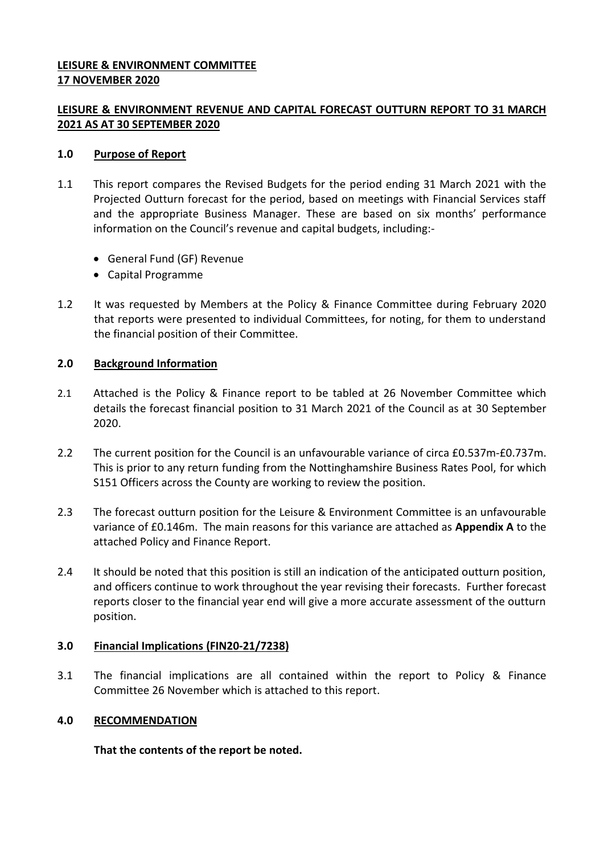## **LEISURE & ENVIRONMENT COMMITTEE 17 NOVEMBER 2020**

# **LEISURE & ENVIRONMENT REVENUE AND CAPITAL FORECAST OUTTURN REPORT TO 31 MARCH 2021 AS AT 30 SEPTEMBER 2020**

## **1.0 Purpose of Report**

- 1.1 This report compares the Revised Budgets for the period ending 31 March 2021 with the Projected Outturn forecast for the period, based on meetings with Financial Services staff and the appropriate Business Manager. These are based on six months' performance information on the Council's revenue and capital budgets, including:-
	- General Fund (GF) Revenue
	- Capital Programme
- 1.2 It was requested by Members at the Policy & Finance Committee during February 2020 that reports were presented to individual Committees, for noting, for them to understand the financial position of their Committee.

## **2.0 Background Information**

- 2.1 Attached is the Policy & Finance report to be tabled at 26 November Committee which details the forecast financial position to 31 March 2021 of the Council as at 30 September 2020.
- 2.2 The current position for the Council is an unfavourable variance of circa £0.537m-£0.737m. This is prior to any return funding from the Nottinghamshire Business Rates Pool, for which S151 Officers across the County are working to review the position.
- 2.3 The forecast outturn position for the Leisure & Environment Committee is an unfavourable variance of £0.146m. The main reasons for this variance are attached as **Appendix A** to the attached Policy and Finance Report.
- 2.4 It should be noted that this position is still an indication of the anticipated outturn position, and officers continue to work throughout the year revising their forecasts. Further forecast reports closer to the financial year end will give a more accurate assessment of the outturn position.

### **3.0 Financial Implications (FIN20-21/7238)**

3.1 The financial implications are all contained within the report to Policy & Finance Committee 26 November which is attached to this report.

# **4.0 RECOMMENDATION**

**That the contents of the report be noted.**